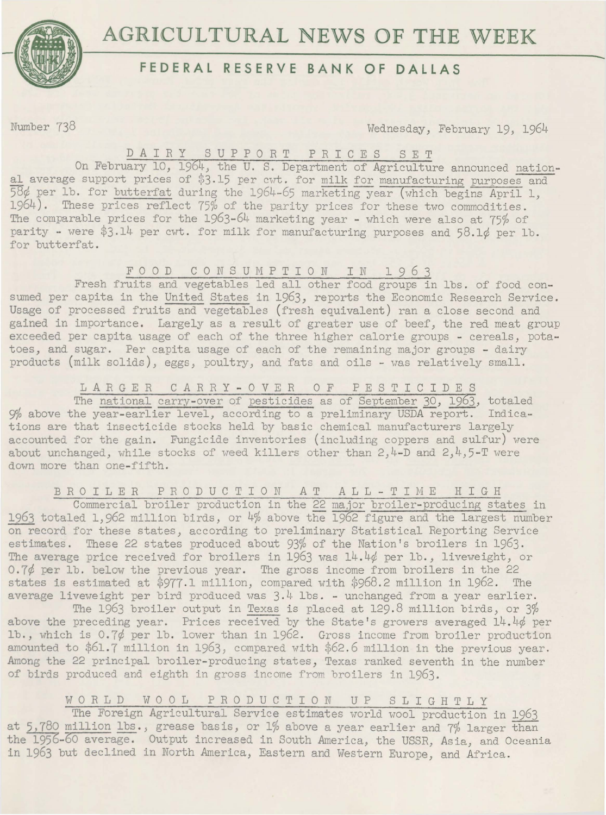

# **AGRICULTURAL NEWS OF THE WEEK**

# **FEDERAL RESERVE BANK OF DALLAS**

Number 738 Wednesday, February 19, 1964

### D A I R Y S U P P 0 R T P R I C E S S E T

On February 10, 1964, the U. S. Department of Agriculture announced national average support prices of \$3.15 per cwt. for milk for manufacturing purposes and 58¢ per lb. for butterfat during the 1964-65 marketing year (which begins April 1, 1964). These prices reflect 75% of the parity prices for these two commodities. The comparable prices for the 1963-64 marketing year - which were also at 75% of parity - were \$3.14 per cwt. for milk for manufacturing purposes and 58.1¢ per lb. for butterfat.

F 0 0 D C 0 N S U M P T I 0 N I N 1 9 *6* 3

Fresh fruits and vegetables led all other food groups in lbs. of food consumed per capita in the United States in 1963, reports the Economic Research Service. Usage of processed fruits and vegetables (fresh equivalent) ran a close second and gained in importance. Largely as a result of greater use of beef, the red meat group exceeded per capita usage of each of the three higher calorie groups - cereals, potatoes, and sugar. Per capita usage of each of the remaining major groups - dairy products (milk solids), eggs, poultry, and fats and oils - was relatively small.

L *A* R G E R C *A* R R Y - 0 V E R 0 F P E S T I C I D E S

The national carry-over of pesticides as of September *30)* 1963, totaled 9% above the year-earlier level, according to a preliminary USDA report. Indications are that insecticide stocks held by basic chemical manufacturers largely accounted for the gain. Fungicide inventories (including coppers and sulfur) were about unchanged, while stocks of weed killers other than  $2, 4-D$  and  $2, 4, 5-T$  were down more than one-fifth.

B R 0 I L E R P R 0 D U C T I 0 N *A* T *A* L L - T I M E H I G H

Commercial broiler production in the 22 major broiler-producing states in 1963 totaled 1,962 million birds, or 4% above the 1962 figure and the largest number on record for these states, according to preliminary Statistical Reporting Service estimates. These 22 states produced about 93% of the Nation's broilers in 1963. The average price received for broilers in 1963 was 14.4¢ per lb., liveweight, or 0.7¢ per lb. below the previous year. The gross income from broilers in the 22 states is estimated at  $$977.1$  million, compared with  $$968.2$  million in 1962. The average liveweight per bird produced was 3.4 lbs. - unchanged from a year earlier.

The 1963 broiler output in Texas is placed at 129.8 million birds, or 3% above the preceding year. Prices received by the State's growers averaged 14.4¢ per lb., which is 0.7¢ per lb. lower than in 1962. Gross income from broiler production amounted to \$61.7 million in 1963, compared with \$62.6 million in the previous year. Among the 22 principal broiler-producing states, Texas ranked seventh in the number of birds produced and eighth in gross income from broilers in 1963.

## WORLD WOOL PRODUCTION UP SLIGHTLY

The Foreign Agricultural Service estimates world wool production in 1963 at 5,780 million lbs., grease basis, or 1% above a year earlier and 7% larger than the 1956-60 average. Output increased in South America, the USSR, Asia, and Oceania in 1963 but declined in North America, Eastern and Western Europe, and Africa.